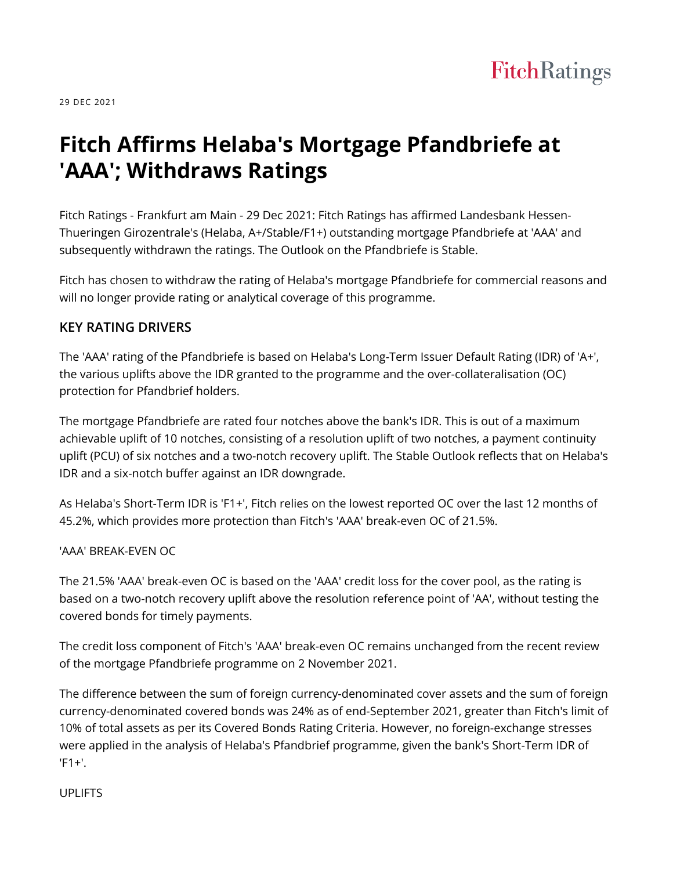

29 DEC 2021

# **Fitch Affirms Helaba's Mortgage Pfandbriefe at 'AAA'; Withdraws Ratings**

Fitch Ratings - Frankfurt am Main - 29 Dec 2021: Fitch Ratings has affirmed Landesbank Hessen-Thueringen Girozentrale's (Helaba, A+/Stable/F1+) outstanding mortgage Pfandbriefe at 'AAA' and subsequently withdrawn the ratings. The Outlook on the Pfandbriefe is Stable.

Fitch has chosen to withdraw the rating of Helaba's mortgage Pfandbriefe for commercial reasons and will no longer provide rating or analytical coverage of this programme.

#### **KEY RATING DRIVERS**

The 'AAA' rating of the Pfandbriefe is based on Helaba's Long-Term Issuer Default Rating (IDR) of 'A+', the various uplifts above the IDR granted to the programme and the over-collateralisation (OC) protection for Pfandbrief holders.

The mortgage Pfandbriefe are rated four notches above the bank's IDR. This is out of a maximum achievable uplift of 10 notches, consisting of a resolution uplift of two notches, a payment continuity uplift (PCU) of six notches and a two-notch recovery uplift. The Stable Outlook reflects that on Helaba's IDR and a six-notch buffer against an IDR downgrade.

As Helaba's Short-Term IDR is 'F1+', Fitch relies on the lowest reported OC over the last 12 months of 45.2%, which provides more protection than Fitch's 'AAA' break-even OC of 21.5%.

#### 'AAA' BREAK-EVEN OC

The 21.5% 'AAA' break-even OC is based on the 'AAA' credit loss for the cover pool, as the rating is based on a two-notch recovery uplift above the resolution reference point of 'AA', without testing the covered bonds for timely payments.

The credit loss component of Fitch's 'AAA' break-even OC remains unchanged from the recent review of the mortgage Pfandbriefe programme on 2 November 2021.

The difference between the sum of foreign currency-denominated cover assets and the sum of foreign currency-denominated covered bonds was 24% as of end-September 2021, greater than Fitch's limit of 10% of total assets as per its Covered Bonds Rating Criteria. However, no foreign-exchange stresses were applied in the analysis of Helaba's Pfandbrief programme, given the bank's Short-Term IDR of  $'F1+'.$ 

#### UPLIFTS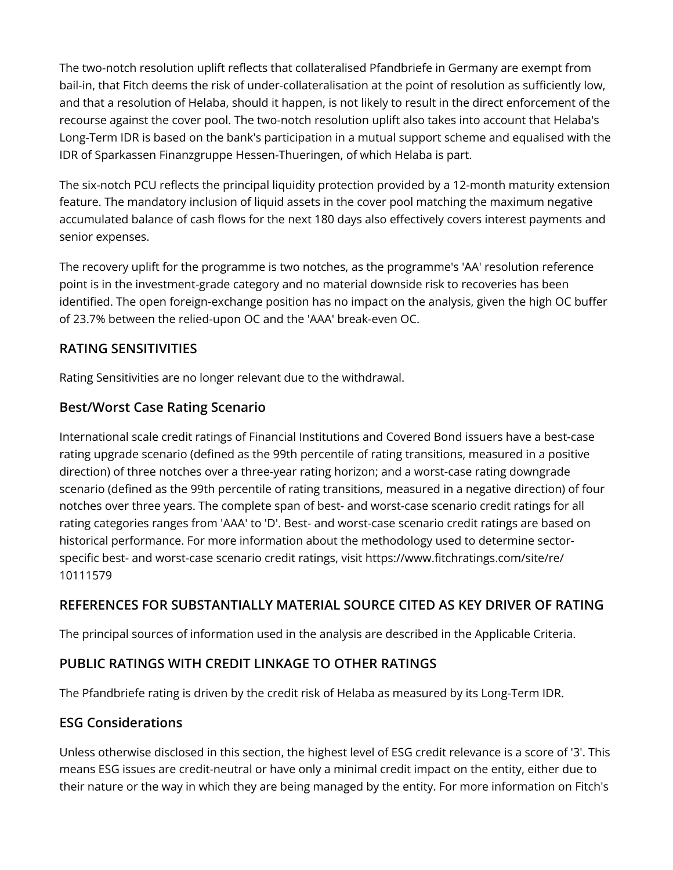The two-notch resolution uplift reflects that collateralised Pfandbriefe in Germany are exempt from bail-in, that Fitch deems the risk of under-collateralisation at the point of resolution as sufficiently low, and that a resolution of Helaba, should it happen, is not likely to result in the direct enforcement of the recourse against the cover pool. The two-notch resolution uplift also takes into account that Helaba's Long-Term IDR is based on the bank's participation in a mutual support scheme and equalised with the IDR of Sparkassen Finanzgruppe Hessen-Thueringen, of which Helaba is part.

The six-notch PCU reflects the principal liquidity protection provided by a 12-month maturity extension feature. The mandatory inclusion of liquid assets in the cover pool matching the maximum negative accumulated balance of cash flows for the next 180 days also effectively covers interest payments and senior expenses.

The recovery uplift for the programme is two notches, as the programme's 'AA' resolution reference point is in the investment-grade category and no material downside risk to recoveries has been identified. The open foreign-exchange position has no impact on the analysis, given the high OC buffer of 23.7% between the relied-upon OC and the 'AAA' break-even OC.

# **RATING SENSITIVITIES**

Rating Sensitivities are no longer relevant due to the withdrawal.

# **Best/Worst Case Rating Scenario**

International scale credit ratings of Financial Institutions and Covered Bond issuers have a best-case rating upgrade scenario (defined as the 99th percentile of rating transitions, measured in a positive direction) of three notches over a three-year rating horizon; and a worst-case rating downgrade scenario (defined as the 99th percentile of rating transitions, measured in a negative direction) of four notches over three years. The complete span of best- and worst-case scenario credit ratings for all rating categories ranges from 'AAA' to 'D'. Best- and worst-case scenario credit ratings are based on historical performance. For more information about the methodology used to determine sectorspecific best- and worst-case scenario credit ratings, visit https://www.fitchratings.com/site/re/ 10111579

## **REFERENCES FOR SUBSTANTIALLY MATERIAL SOURCE CITED AS KEY DRIVER OF RATING**

The principal sources of information used in the analysis are described in the Applicable Criteria.

# **PUBLIC RATINGS WITH CREDIT LINKAGE TO OTHER RATINGS**

The Pfandbriefe rating is driven by the credit risk of Helaba as measured by its Long-Term IDR.

## **ESG Considerations**

Unless otherwise disclosed in this section, the highest level of ESG credit relevance is a score of '3'. This means ESG issues are credit-neutral or have only a minimal credit impact on the entity, either due to their nature or the way in which they are being managed by the entity. For more information on Fitch's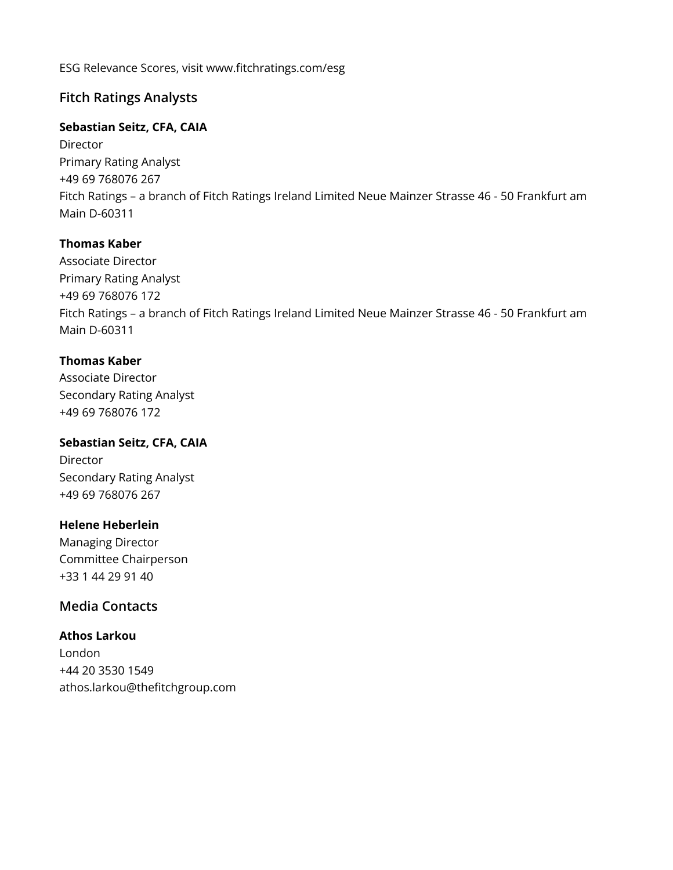ESG Relevance Scores, visit www.fitchratings.com/esg

# **Fitch Ratings Analysts**

#### **Sebastian Seitz, CFA, CAIA**

Director Primary Rating Analyst +49 69 768076 267 Fitch Ratings – a branch of Fitch Ratings Ireland Limited Neue Mainzer Strasse 46 - 50 Frankfurt am Main D-60311

#### **Thomas Kaber**

Associate Director Primary Rating Analyst +49 69 768076 172 Fitch Ratings – a branch of Fitch Ratings Ireland Limited Neue Mainzer Strasse 46 - 50 Frankfurt am Main D-60311

## **Thomas Kaber**

Associate Director Secondary Rating Analyst +49 69 768076 172

**Sebastian Seitz, CFA, CAIA Director** Secondary Rating Analyst +49 69 768076 267

#### **Helene Heberlein**

Managing Director Committee Chairperson +33 1 44 29 91 40

# **Media Contacts**

**Athos Larkou** London +44 20 3530 1549 athos.larkou@thefitchgroup.com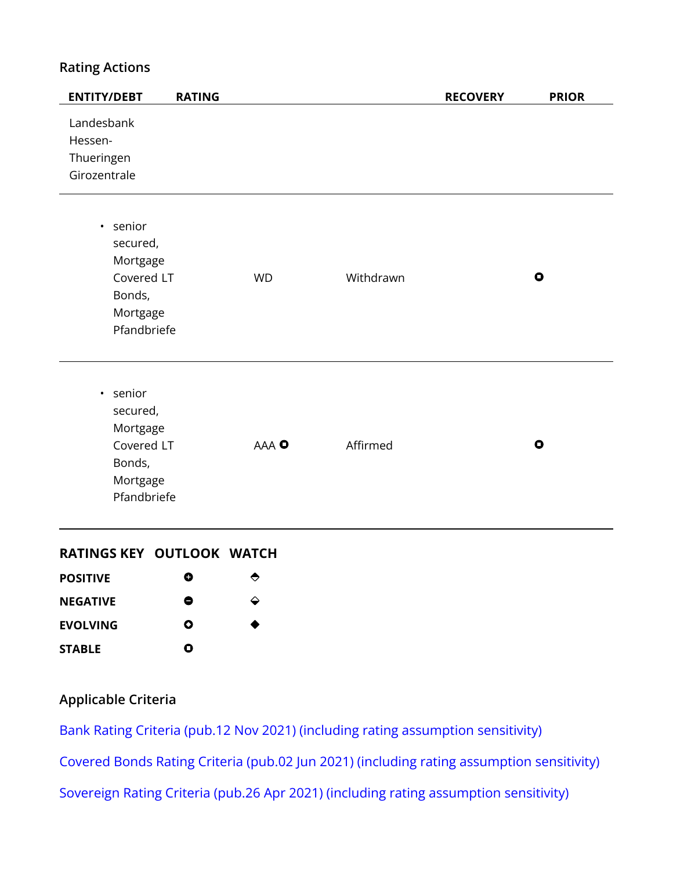# **Rating Actions**

| $\bullet$ |
|-----------|
| $\bullet$ |
|           |

#### **RATINGS KEY OUTLOOK WATCH**

| <b>POSITIVE</b> | O | ◓ |
|-----------------|---|---|
| <b>NEGATIVE</b> | 8 | ↩ |
| <b>EVOLVING</b> | Ο | ● |
| <b>STABLE</b>   | Ο |   |

# **Applicable Criteria**

[Bank Rating Criteria \(pub.12 Nov 2021\) \(including rating assumption sensitivity\)](https://app.fitchconnect.com/search/research/article/RPT_10182112) [Covered Bonds Rating Criteria \(pub.02 Jun 2021\) \(including rating assumption sensitivity\)](https://app.fitchconnect.com/search/research/article/RPT_10163901) [Sovereign Rating Criteria \(pub.26 Apr 2021\) \(including rating assumption sensitivity\)](https://app.fitchconnect.com/search/research/article/RPT_10158192)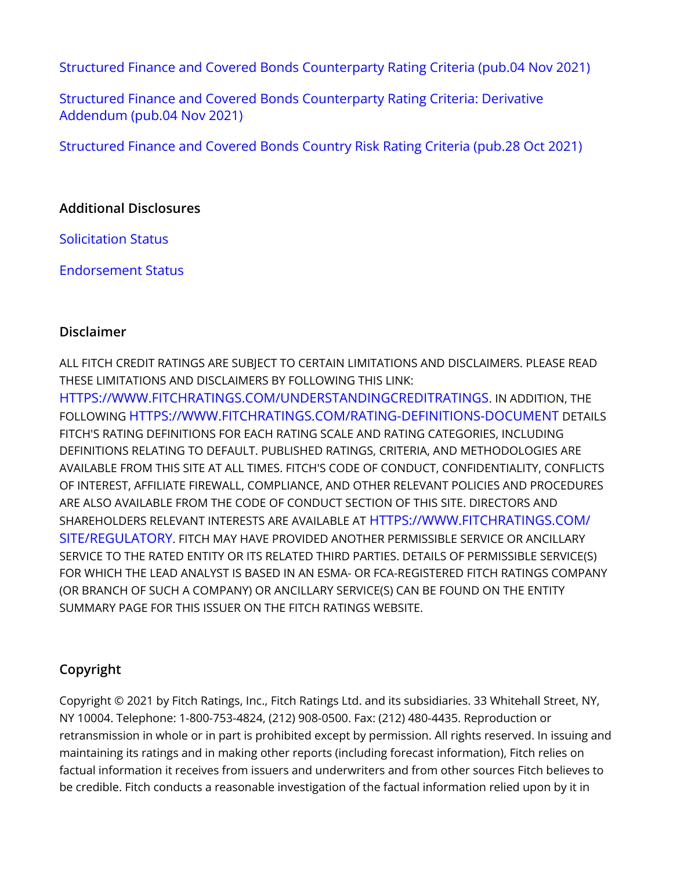[Structured Finance and Covered Bonds Counterparty Rating Criteria \(pub.04 Nov 2021\)](https://app.fitchconnect.com/search/research/article/RPT_10182189)

[Structured Finance and Covered Bonds Counterparty Rating Criteria: Derivative](https://app.fitchconnect.com/search/research/article/RPT_10182218) [Addendum \(pub.04 Nov 2021\)](https://app.fitchconnect.com/search/research/article/RPT_10182218)

[Structured Finance and Covered Bonds Country Risk Rating Criteria \(pub.28 Oct 2021\)](https://app.fitchconnect.com/search/research/article/RPT_10180945)

# **Additional Disclosures**

[Solicitation Status](https://www.fitchratings.com/research/structured-finance/covered-bonds/fitch-affirms-helaba-mortgage-pfandbriefe-at-aaa-withdraws-ratings-29-12-2021#solicitation-status)

[Endorsement Status](https://www.fitchratings.com/research/structured-finance/covered-bonds/fitch-affirms-helaba-mortgage-pfandbriefe-at-aaa-withdraws-ratings-29-12-2021#endorsement-status)

## **Disclaimer**

ALL FITCH CREDIT RATINGS ARE SUBJECT TO CERTAIN LIMITATIONS AND DISCLAIMERS. PLEASE READ THESE LIMITATIONS AND DISCLAIMERS BY FOLLOWING THIS LINK: [HTTPS://WWW.FITCHRATINGS.COM/UNDERSTANDINGCREDITRATINGS](https://www.fitchratings.com/UNDERSTANDINGCREDITRATINGS). IN ADDITION, THE FOLLOWING [HTTPS://WWW.FITCHRATINGS.COM/RATING-DEFINITIONS-DOCUMENT](https://www.fitchratings.com/rating-definitions-document) DETAILS FITCH'S RATING DEFINITIONS FOR EACH RATING SCALE AND RATING CATEGORIES, INCLUDING DEFINITIONS RELATING TO DEFAULT. PUBLISHED RATINGS, CRITERIA, AND METHODOLOGIES ARE AVAILABLE FROM THIS SITE AT ALL TIMES. FITCH'S CODE OF CONDUCT, CONFIDENTIALITY, CONFLICTS OF INTEREST, AFFILIATE FIREWALL, COMPLIANCE, AND OTHER RELEVANT POLICIES AND PROCEDURES ARE ALSO AVAILABLE FROM THE CODE OF CONDUCT SECTION OF THIS SITE. DIRECTORS AND SHAREHOLDERS RELEVANT INTERESTS ARE AVAILABLE AT [HTTPS://WWW.FITCHRATINGS.COM/](https://www.fitchratings.com/site/regulatory) [SITE/REGULATORY](https://www.fitchratings.com/site/regulatory). FITCH MAY HAVE PROVIDED ANOTHER PERMISSIBLE SERVICE OR ANCILLARY SERVICE TO THE RATED ENTITY OR ITS RELATED THIRD PARTIES. DETAILS OF PERMISSIBLE SERVICE(S) FOR WHICH THE LEAD ANALYST IS BASED IN AN ESMA- OR FCA-REGISTERED FITCH RATINGS COMPANY (OR BRANCH OF SUCH A COMPANY) OR ANCILLARY SERVICE(S) CAN BE FOUND ON THE ENTITY SUMMARY PAGE FOR THIS ISSUER ON THE FITCH RATINGS WEBSITE.

# **Copyright**

Copyright © 2021 by Fitch Ratings, Inc., Fitch Ratings Ltd. and its subsidiaries. 33 Whitehall Street, NY, NY 10004. Telephone: 1-800-753-4824, (212) 908-0500. Fax: (212) 480-4435. Reproduction or retransmission in whole or in part is prohibited except by permission. All rights reserved. In issuing and maintaining its ratings and in making other reports (including forecast information), Fitch relies on factual information it receives from issuers and underwriters and from other sources Fitch believes to be credible. Fitch conducts a reasonable investigation of the factual information relied upon by it in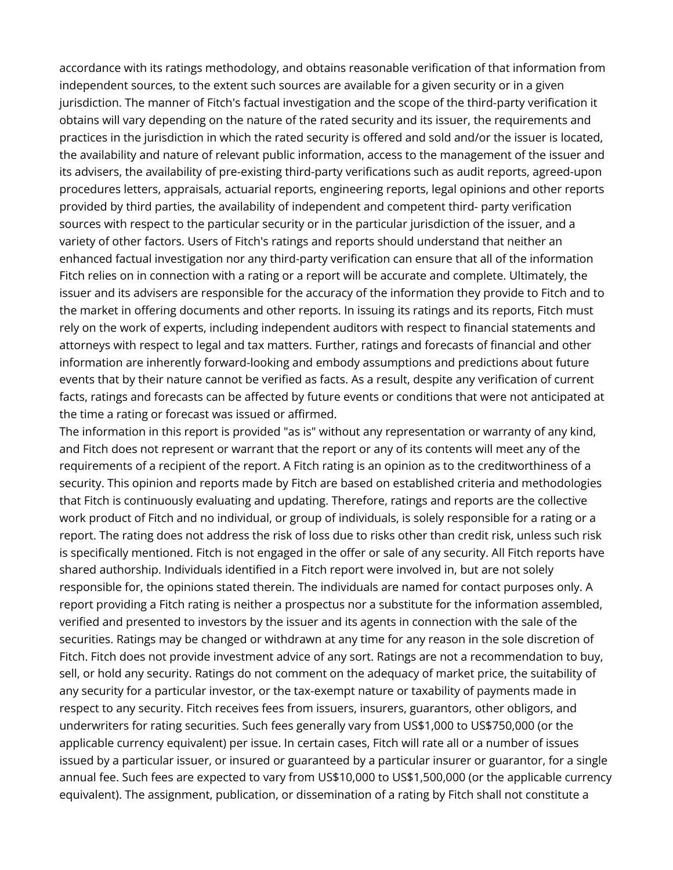accordance with its ratings methodology, and obtains reasonable verification of that information from independent sources, to the extent such sources are available for a given security or in a given jurisdiction. The manner of Fitch's factual investigation and the scope of the third-party verification it obtains will vary depending on the nature of the rated security and its issuer, the requirements and practices in the jurisdiction in which the rated security is offered and sold and/or the issuer is located, the availability and nature of relevant public information, access to the management of the issuer and its advisers, the availability of pre-existing third-party verifications such as audit reports, agreed-upon procedures letters, appraisals, actuarial reports, engineering reports, legal opinions and other reports provided by third parties, the availability of independent and competent third- party verification sources with respect to the particular security or in the particular jurisdiction of the issuer, and a variety of other factors. Users of Fitch's ratings and reports should understand that neither an enhanced factual investigation nor any third-party verification can ensure that all of the information Fitch relies on in connection with a rating or a report will be accurate and complete. Ultimately, the issuer and its advisers are responsible for the accuracy of the information they provide to Fitch and to the market in offering documents and other reports. In issuing its ratings and its reports, Fitch must rely on the work of experts, including independent auditors with respect to financial statements and attorneys with respect to legal and tax matters. Further, ratings and forecasts of financial and other information are inherently forward-looking and embody assumptions and predictions about future events that by their nature cannot be verified as facts. As a result, despite any verification of current facts, ratings and forecasts can be affected by future events or conditions that were not anticipated at the time a rating or forecast was issued or affirmed.

The information in this report is provided "as is" without any representation or warranty of any kind, and Fitch does not represent or warrant that the report or any of its contents will meet any of the requirements of a recipient of the report. A Fitch rating is an opinion as to the creditworthiness of a security. This opinion and reports made by Fitch are based on established criteria and methodologies that Fitch is continuously evaluating and updating. Therefore, ratings and reports are the collective work product of Fitch and no individual, or group of individuals, is solely responsible for a rating or a report. The rating does not address the risk of loss due to risks other than credit risk, unless such risk is specifically mentioned. Fitch is not engaged in the offer or sale of any security. All Fitch reports have shared authorship. Individuals identified in a Fitch report were involved in, but are not solely responsible for, the opinions stated therein. The individuals are named for contact purposes only. A report providing a Fitch rating is neither a prospectus nor a substitute for the information assembled, verified and presented to investors by the issuer and its agents in connection with the sale of the securities. Ratings may be changed or withdrawn at any time for any reason in the sole discretion of Fitch. Fitch does not provide investment advice of any sort. Ratings are not a recommendation to buy, sell, or hold any security. Ratings do not comment on the adequacy of market price, the suitability of any security for a particular investor, or the tax-exempt nature or taxability of payments made in respect to any security. Fitch receives fees from issuers, insurers, guarantors, other obligors, and underwriters for rating securities. Such fees generally vary from US\$1,000 to US\$750,000 (or the applicable currency equivalent) per issue. In certain cases, Fitch will rate all or a number of issues issued by a particular issuer, or insured or guaranteed by a particular insurer or guarantor, for a single annual fee. Such fees are expected to vary from US\$10,000 to US\$1,500,000 (or the applicable currency equivalent). The assignment, publication, or dissemination of a rating by Fitch shall not constitute a